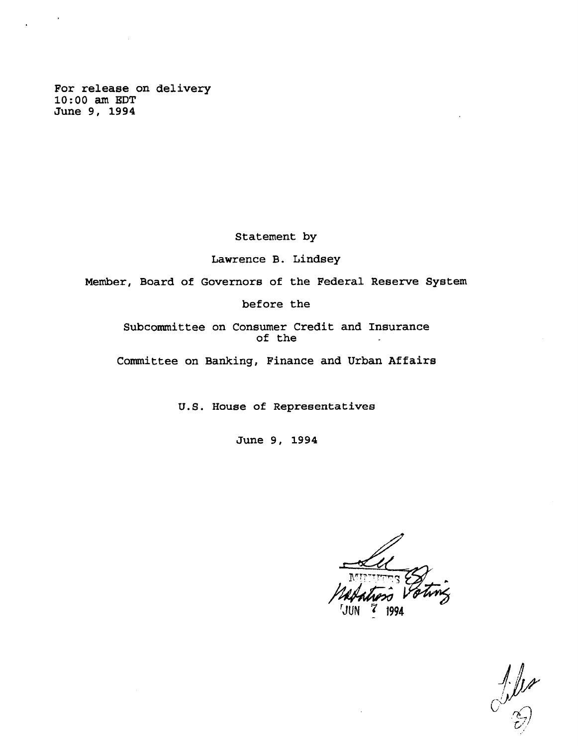**For release on delivery 10:00 am EDT June 9, 1994**

**Statement by**

**Lawrence B. Lindsey**

**Member, Board of Governors of the Federal Reserve System**

**before the**

**Subcommittee on Consumer Credit and Insurance of the**  $\ddot{\phantom{a}}$ 

**Committee on Banking, Finance and Urban Affairs**

**U.S. House of Representatives**

**June 9, 1994**

 $\int \frac{1}{x}$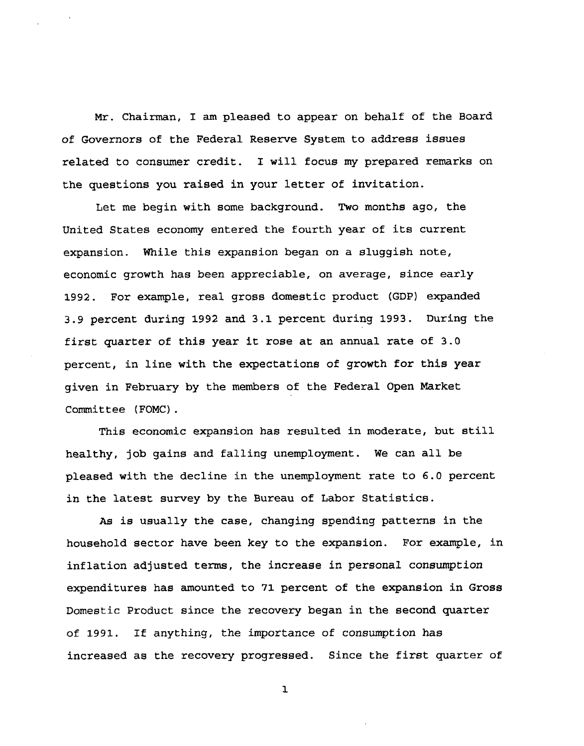**Mr. Chairman, I am pleased to appear on behalf of the Board of Governors of the Federal Reserve System to address issues related to consumer credit. I will focus my prepared remarks on the questions you raised in your letter of invitation.**

**Let me begin with some background. Two months ago, the United States economy entered the fourth year of its current expansion. While this expansion began on a sluggish note, economic growth has been appreciable, on average, since early 1992. For example, real gross domestic product (GDP) expanded 3.9 percent during 1992 and 3.1 percent during 1993. During the first quarter of this year it rose at an annual rate of 3.0 percent, in line with the expectations of growth for this year given in February by the members of the Federal Open Market Committee (FOMC).**

**This economic expansion has resulted in moderate, but still healthy, job gains and falling unemployment. We can all be pleased with the decline in the unemployment rate to 6.0 percent in the latest survey by the Bureau of Labor Statistics.**

**As is usually the case, changing spending patterns in the household sector have been key to the expansion. For example, in inflation adjusted terms, the increase in personal consumption expenditures has amounted to 71 percent of the expansion in Gross Domestic Product since the recovery began in the second quarter of 1991. If anything, the importance of consumption has increased as the recovery progressed. Since the first quarter of**

**l**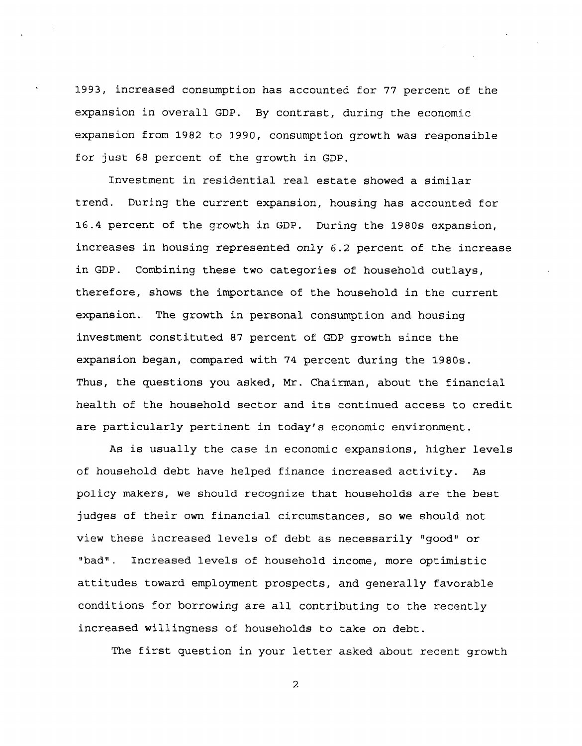**1993, increased consumption has accounted for 77 percent of the expansion in overall GDP. By contrast, during the economic expansion from 1982 to 1990, consumption growth was responsible for just 68 percent of the growth in GDP.**

**Investment in residential real estate showed a similar trend. During the current expansion, housing has accounted for 16.4 percent of the growth in GDP. During the 1980s expansion, increases in housing represented only 6.2 percent of the increase in GDP. Combining these two categories of household outlays, therefore, shows the importance of the household in the current expansion. The growth in personal consumption and housing investment constituted 87 percent of GDP growth since the expansion began, compared with 74 percent during the 1980s. Thus, the questions you asked, Mr. Chairman, about the financial health of the household sector and its continued access to credit are particularly pertinent in today's economic environment.**

**As is usually the case in economic expansions, higher levels of household debt have helped finance increased activity. As policy makers, we should recognize that households are the best judges of their own financial circumstances, so we should not view these increased levels of debt as necessarily "good" or "bad". Increased levels of household income, more optimistic attitudes toward employment prospects, and generally favorable conditions for borrowing are all contributing to the recently increased willingness of households to take on debt.**

**The first question in your letter asked about recent growth**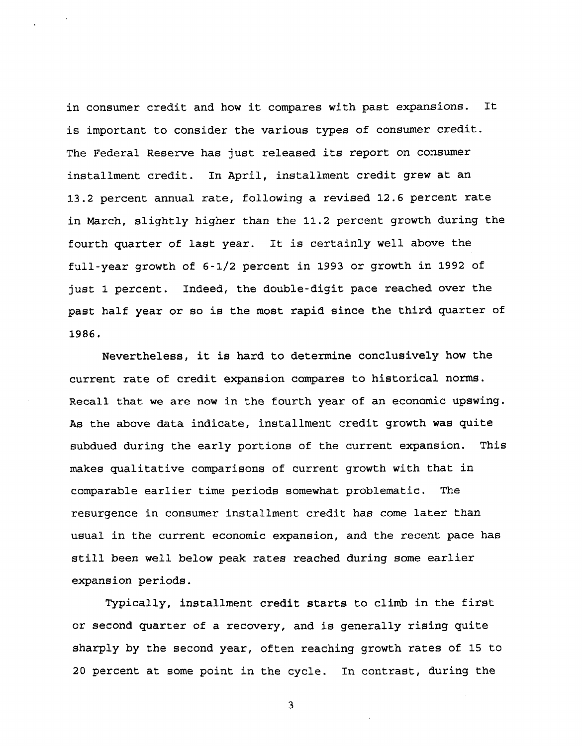**in consumer credit and how it compares with past expansions. It is important to consider the various types of consumer credit. The Federal Reserve has just released its report on consumer installment credit. In April, installment credit grew at an 13.2 percent annual rate, following a revised 12.6 percent rate in March, slightly higher than the 11.2 percent growth during the fourth quarter of last year. It is certainly well above the full-year growth of 6-1/2 percent in 1993 or growth in 1992 of just 1 percent. Indeed, the double-digit pace reached over the past half year or so is the most rapid since the third quarter of 1986.**

**Nevertheless, it is hard to determine conclusively how the current rate of credit expansion compares to historical norms. Recall that we are now in the fourth year of an economic upswing. As the above data indicate, installment credit growth was quite subdued during the early portions of the current expansion. This makes qualitative comparisons of current growth with that in comparable earlier time periods somewhat problematic. The resurgence in consumer installment credit has come later than usual in the current economic expansion, and the recent pace has still been well below peak rates reached during some earlier expansion periods.**

**Typically, installment credit starts to climb in the first or second quarter of a recovery, and is generally rising quite sharply by the second year, often reaching growth rates of 15 to 20 percent at some point in the cycle. In contrast, during the**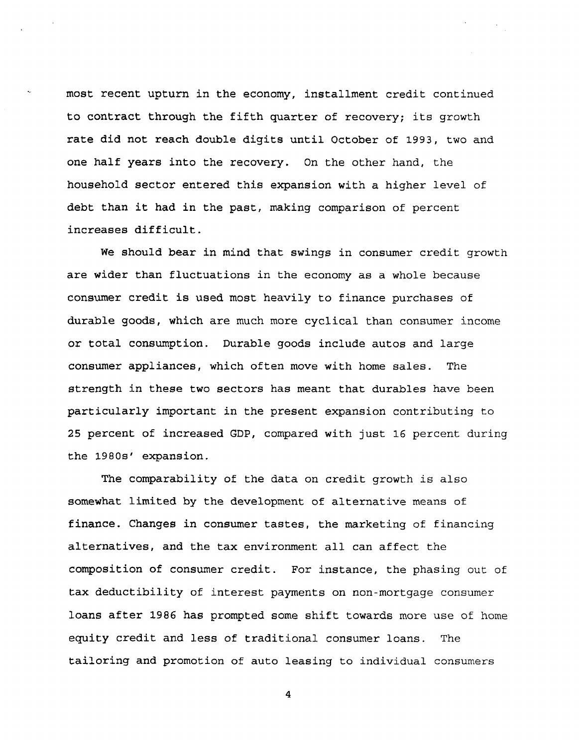**most recent upturn in the economy, installment credit continued to contract through the fifth quarter of recovery; its growth rate did not reach double digits until October of 199 3, two and one half years into the recovery. On the other hand, the household sector entered this expansion with a higher level** of **debt than it had in the past, making comparison of percent increases difficult.**

**We should bear in mind that swings in consumer credit growth are wider than fluctuations in the economy as a whole because consumer credit is used most heavily to finance purchases of durable goods, which are much more cyclical than consumer income or total consumption. Durable goods include autos and large consumer appliances, which often move with home sales. The strength in these two sectors has meant that durables have been particularly important in the present expansion contributing to 25 percent of increased GDP, compared with just 16 percent during the 1980s' expansion.**

**The comparability of the data on credit growth** is **also somewhat limited by the development of alternative** means of **finance. Changes in consumer tastes, the marketing** of **financing alternatives, and the tax environment all can affect the composition of consumer credit. For instance, the** phasing out of **tax deductibility of interest payments on non-mortgage** consumer **loans after 1986 has prompted some shift towards** more use of home **equity credit and less of traditional consumer loans.** The **tailoring and promotion of auto leasing to individual** consumers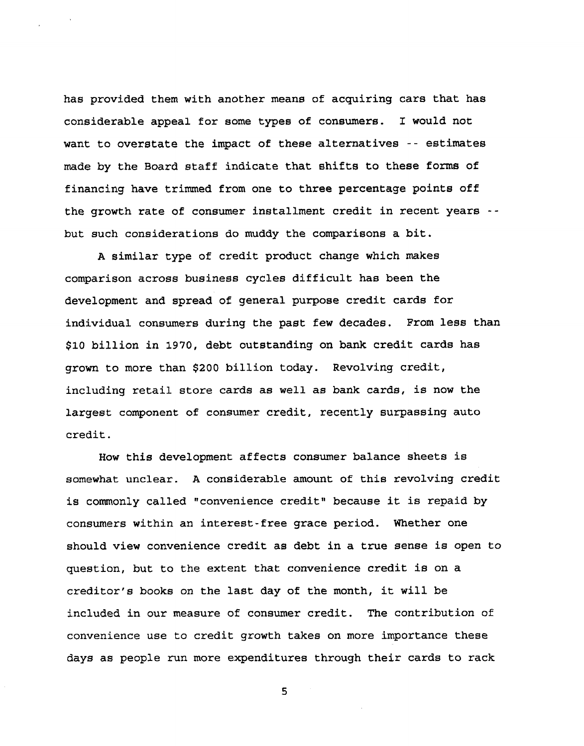**has provided them with another means of acquiring cars that has considerable appeal for some types of consumers. I would not want to overstate the impact of these alternatives -- estimates made by the Board staff indicate that shifts to these forms of financing have trimmed from one to three percentage points off the growth rate of consumer installment credit in recent years - but such considerations do muddy the comparisons a bit.**

**A similar type of credit product change which makes comparison across business cycles difficult has been the development and spread of general purpose credit cards for individual consumers during the past few decades. From less than \$10 billion in 1970, debt outstanding on bank credit cards has grown to more than \$200 billion today. Revolving credit, including retail store cards as well as bank cards, is now the largest component of consumer credit, recently surpassing auto credit.**

**How this development affects consumer balance sheets is somewhat unclear. A considerable amount of this revolving credit is commonly called "convenience credit" because it is repaid by consumers within an interest-free grace period. Whether one should view convenience credit as debt in a true sense is open to question, but to the extent that convenience credit is on a creditor's books on the last day of the month, it will be included in our measure of consumer credit. The contribution of convenience use to credit growth takes on more importance these days as people run more expenditures through their cards to rack**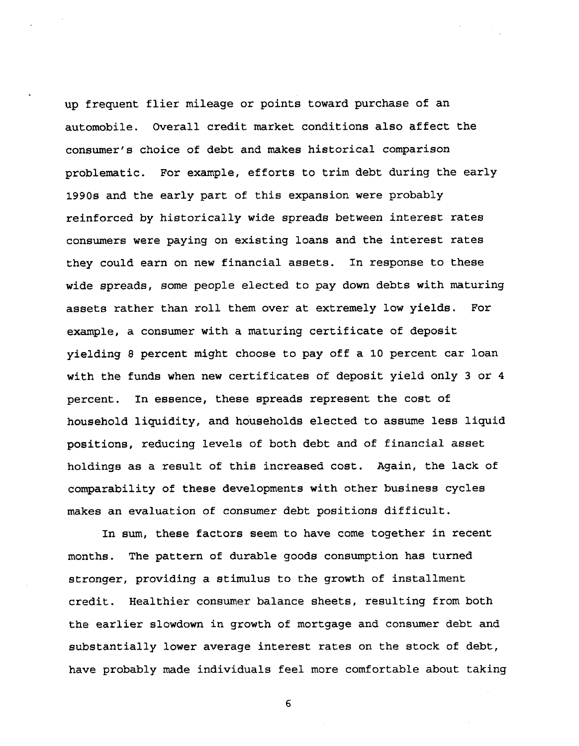**up frequent flier mileage or points toward purchase of an automobile. Overall credit market conditions also affect the consumer's choice of debt and makes historical comparison problematic. For example, efforts to trim debt during the early 1990s and the early part of this expansion were probably reinforced by historically wide spreads between interest rates consumers were paying on existing loans and the interest rates they could earn on new financial assets. In response to these wide spreads, some people elected to pay down debts with maturing assets rather than roll them over at extremely low yields. For example, a consumer with a maturing certificate of deposit yielding 8 percent might choose to pay off a 10 percent car loan with the funds when new certificates of deposit yield only 3 or 4 percent. In essence, these spreads represent the cost of household liquidity, and households elected to assume less liquid positions, reducing levels of both debt and of financial asset holdings as a result of this increased cost. Again, the lack of comparability of these developments with other business cycles makes an evaluation of consumer debt positions difficult.**

**In sum, these factors seem to have come together in recent months. The pattern of durable goods consumption has turned stronger, providing a stimulus to the growth of installment credit. Healthier consumer balance sheets, resulting from both the earlier slowdown in growth of mortgage and consumer debt and substantially lower average interest rates on the stock of debt, have probably made individuals feel more comfortable about taking**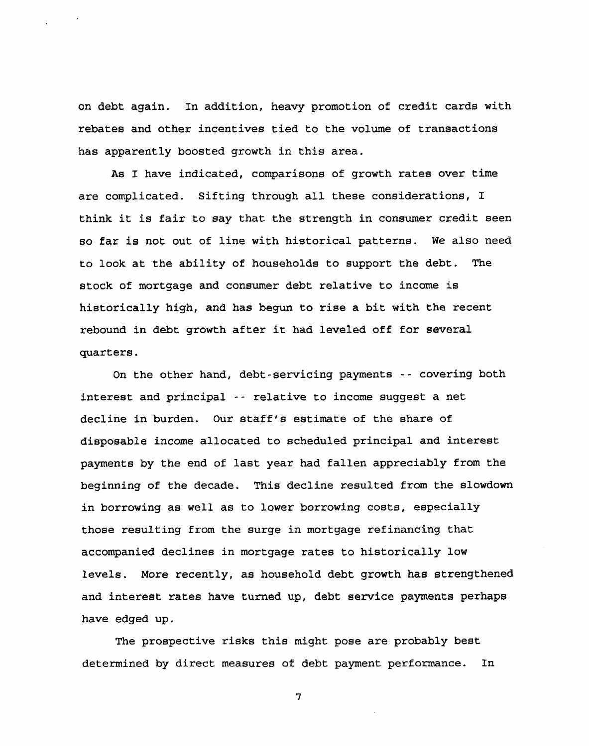**on debt again. In addition, heavy promotion of credit cards with rebates and other incentives tied to the volume of transactions has apparently boosted growth in this area.**

**As I have indicated, comparisons of growth rates over time are complicated. Sifting through all these considerations, I think it is fair to say that the strength in consumer credit seen so far is not out of line with historical patterns. We also need to look at the ability of households to support the debt. The stock of mortgage and consumer debt relative to income is historically high, and has begun to rise a bit with the recent rebound in debt growth after it had leveled off for several quarters.**

**On the other hand, debt-servicing payments -- covering both interest and principal - - relative to income suggest a net decline in burden. Our staff's estimate of the share of disposable income allocated to scheduled principal and interest payments by the end of last year had fallen appreciably from the beginning of the decade. This decline resulted from the slowdown in borrowing as well as to lower borrowing costs, especially those resulting from the surge in mortgage refinancing that accompanied declines in mortgage rates to historically low levels. More recently, as household debt growth has strengthened and interest rates have turned up, debt service payments perhaps have edged up.**

**The prospective risks this might pose are probably best determined by direct measures of debt payment performance. In**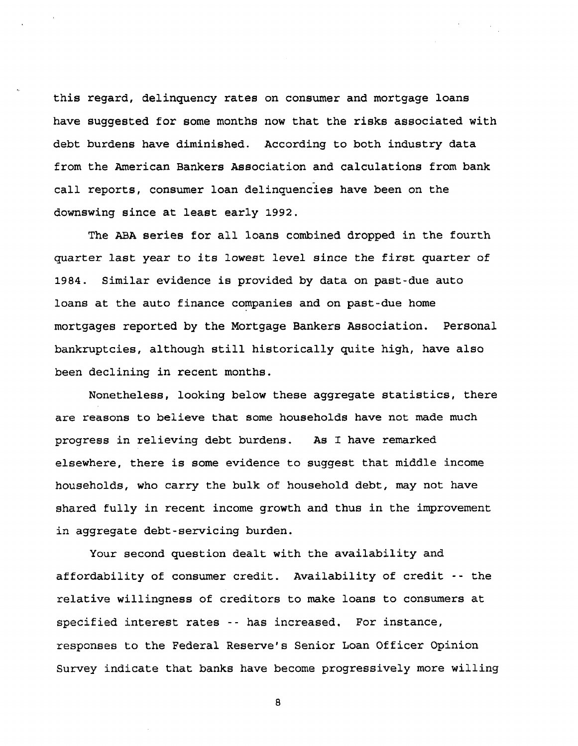**this regard, delinquency rates on consumer and mortgage loans have suggested for some months now that the risks associated with debt burdens have diminished. According to both industry data from the American Bankers Association and calculations from bank call reports, consumer loan delinquencies have been on the downswing since at least early 1992.**

**The ABA series for all loans combined dropped in the fourth quarter last year to its lowest level since the first quarter of 1984. Similar evidence is provided by data on past-due auto loans at the auto finance companies and on past-due home mortgages reported by the Mortgage Bankers Association. Personal bankruptcies, although still historically quite high, have also been declining in recent months.**

**Nonetheless, looking below these aggregate statistics, there are reasons to believe that some households have not made much progress in relieving debt burdens. As I have remarked elsewhere, there is some evidence to suggest that middle income households, who carry the bulk of household debt, may not have shared fully in recent income growth and thus in the improvement in aggregate debt-servicing burden.**

**Your second question dealt with the availability and affordability of consumer credit. Availability of credit -- the relative willingness of creditors to make loans to consumers at specified interest rates -- has increased. For instance, responses to the Federal Reserve's Senior Loan Officer Opinion Survey indicate that banks have become progressively more willing**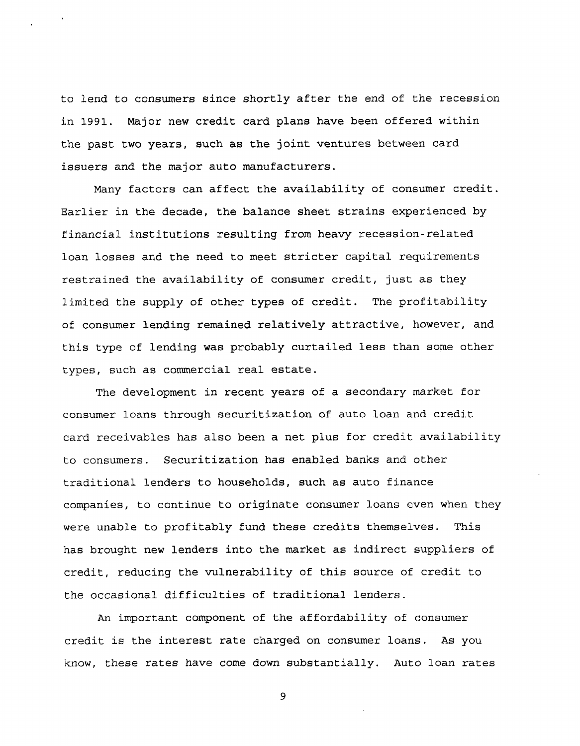to lend to consumers since shortly after the end of the recession in 1991. Major new credit card plans have been offered within the past two years, such as the joint ventures between card issuers and the major auto manufacturers.

Many factors can affect the availability of consumer credit. Earlier in the decade, the balance sheet strains experienced by financial institutions resulting from heavy recession-related loan losses and the need to meet stricter capital requirements restrained the availability of consumer credit, just as they limited the supply of other types of credit. The profitability of consumer lending remained relatively attractive, however, and this type of lending was probably curtailed less than some other types, such as commercial real estate.

The development in recent years of a secondary market for consumer loans through securitization of auto loan and credit card receivables has also been a net plus for credit availability to consumers. Securitization has enabled banks and other traditional lenders to households, such as auto finance companies, to continue to originate consumer loans even when they were unable to profitably fund these credits themselves. This has brought new lenders into the market as indirect suppliers of credit, reducing the vulnerability of this source of credit to the occasional difficulties of traditional lenders.

An important component of the affordability of consumer credit is the interest rate charged on consumer loans. As you know, these rates have come down substantially. Auto loan rates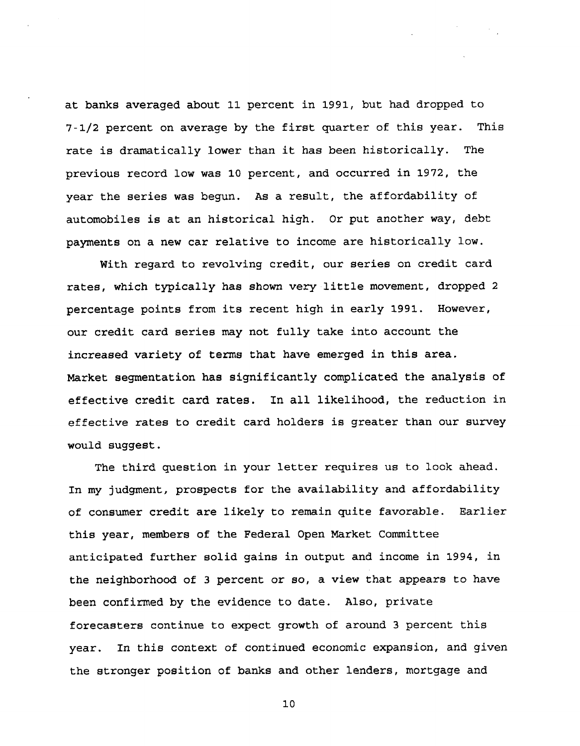**at banks averaged about 11 percent in 1991, but had dropped to 7-1/2 percent on average by the first quarter of this year. This rate is dramatically lower than it has been historically. The previous record low was 10 percent, and occurred in 1972, the year the series was begun. As a result, the affordability of automobiles is at an historical high. Or put another way, debt payments on a new car relative to income are historically low.**

**With regard to revolving credit, our series on credit card rates, which typically has shown very little movement, dropped 2 percentage points from its recent high in early 1991. However, our credit card series may not fully take into account the increased variety of terms that have emerged in this area. Market segmentation has significantly complicated the analysis of effective credit card rates. In all likelihood, the reduction in effective rates to credit card holders is greater than our survey would suggest.**

**The third question in your letter requires us to look ahead. In my judgment, prospects for the availability and affordability of consumer credit are likely to remain quite favorable. Earlier this year, members of the Federal Open Market Committee anticipated further solid gains in output and income in 1994, in the neighborhood of 3 percent or so, a view that appears to have been confirmed by the evidence to date. Also, private forecasters continue to expect growth of around 3 percent this year. In this context of continued economic expansion, and given the stronger position of banks and other lenders, mortgage and**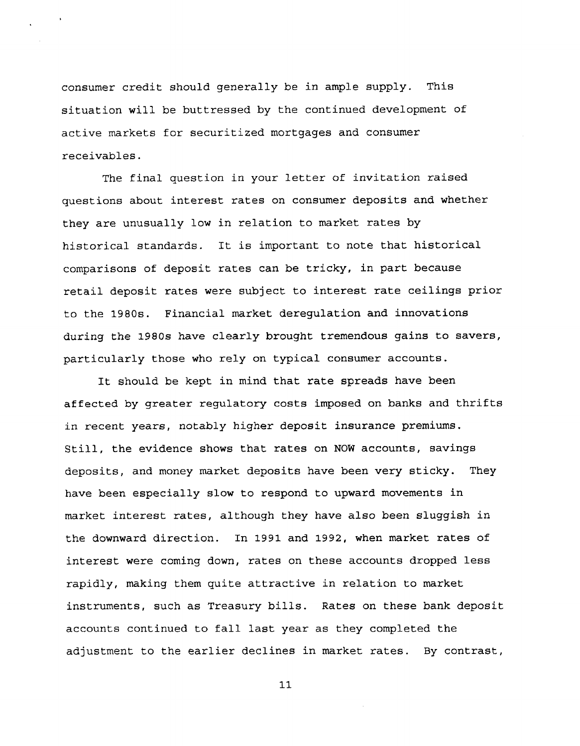**consumer credit should generally be in ample supply. This situation will be buttressed by the continued development of active markets for securitized mortgages and consumer receivables.**

**The final question in your letter of invitation raised questions about interest rates on consumer deposits and whether they are unusually low in relation to market rates by historical standards. It is important to note that historical comparisons of deposit rates can be tricky, in part because retail deposit rates were subject to interest rate ceilings prior to the 1980s. Financial market deregulation and innovations during the 1980s have clearly brought tremendous gains to savers, particularly those who rely on typical consumer accounts.**

**It should be kept in mind that rate spreads have been affected by greater regulatory costs imposed on banks and thrifts in recent years, notably higher deposit insurance premiums. Still, the evidence shows that rates on NOW accounts, savings deposits, and money market deposits have been very sticky. They have been especially slow to respond to upward movements in market interest rates, although they have also been sluggish in the downward direction. In 1991 and 1992, when market rates of interest were coming down, rates on these accounts dropped less rapidly, making them quite attractive in relation to market instruments, such as Treasury bills. Rates on these bank deposit accounts continued to fall last year as they completed the adjustment to the earlier declines in market rates. By contrast,**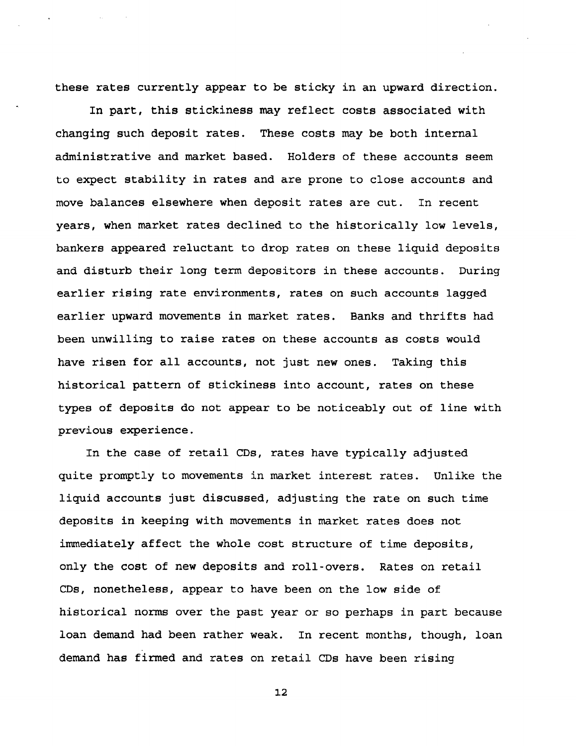**these rates currently appear to be sticky in an upward direction.**

**In part, this stickiness may reflect costs associated with changing such deposit rates. These costs may be both internal administrative and market based. Holders of these accounts seem to expect stability in rates and are prone to close accounts and move balances elsewhere when deposit rates are cut. In recent years, when market rates declined to the historically low levels, bankers appeared reluctant to drop rates on these liquid deposits and disturb their long term depositors in these accounts. During earlier rising rate environments, rates on such accounts lagged earlier upward movements in market rates. Banks and thrifts had been unwilling to raise rates on these accounts as costs would have risen for all accounts, not just new ones. Taking this historical pattern of stickiness into account, rates on these types of deposits do not appear to be noticeably out of line with previous experience.**

**In the case of retail CDs, rates have typically adjusted quite promptly to movements in market interest rates. Unlike the liquid accounts just discussed, adjusting the rate on such time deposits in keeping with movements in market rates does not immediately affect the whole cost structure of time deposits, only the cost of new deposits and roll-overs. Rates on retail CDs, nonetheless, appear to have been on the low side of historical norms over the past year or so perhaps in part because loan demand had been rather weak. In recent months, though, loan demand has firmed and rates on retail CDs have been rising**